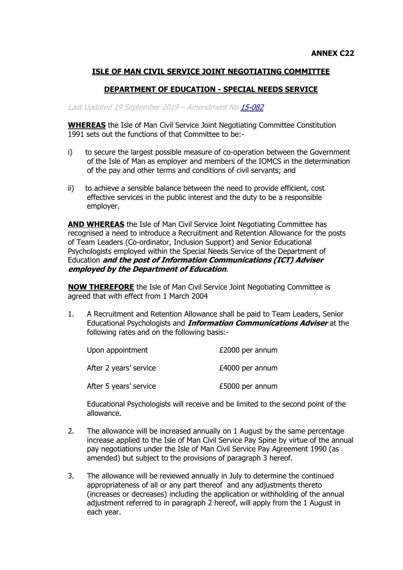## **ISLE OF MAN CIVIL SERVICE JOINT NEGOTIATING COMMITTEE**

## **DEPARTMENT OF EDUCATION - SPECIAL NEEDS SERVICE**

## Last Updated 19 September 2019 - Amendment N[o 15-082](https://hr.gov.im/media/1746/psc-15-082-psc-cs-annex-c22-educational-psychologists-rr.pdf)

**WHEREAS** the Isle of Man Civil Service Joint Negotiating Committee Constitution 1991 sets out the functions of that Committee to be:-

- i) to secure the largest possible measure of co-operation between the Government of the Isle of Man as employer and members of the IOMCS in the determination of the pay and other terms and conditions of civil servants; and
- ii) to achieve a sensible balance between the need to provide efficient, cost effective services in the public interest and the duty to be a responsible employer.

**AND WHEREAS** the Isle of Man Civil Service Joint Negotiating Committee has recognised a need to introduce a Recruitment and Retention Allowance for the posts of Team Leaders (Co-ordinator, Inclusion Support) and Senior Educational Psychologists employed within the Special Needs Service of the Department of Education **and the post of Information Communications (ICT) Adviser employed by the Department of Education**.

**NOW THEREFORE** the Isle of Man Civil Service Joint Negotiating Committee is agreed that with effect from 1 March 2004

1. A Recruitment and Retention Allowance shall be paid to Team Leaders, Senior Educational Psychologists and **Information Communications Adviser** at the following rates and on the following basis:-

| Upon appointment       | £2000 per annum |
|------------------------|-----------------|
| After 2 years' service | £4000 per annum |
| After 5 years' service | £5000 per annum |

Educational Psychologists will receive and be limited to the second point of the allowance.

- 2. The allowance will be increased annually on 1 August by the same percentage increase applied to the Isle of Man Civil Service Pay Spine by virtue of the annual pay negotiations under the Isle of Man Civil Service Pay Agreement 1990 (as amended) but subject to the provisions of paragraph 3 hereof.
- 3. The allowance will be reviewed annually in July to determine the continued appropriateness of all or any part thereof and any adjustments thereto (increases or decreases) including the application or withholding of the annual adjustment referred to in paragraph 2 hereof, will apply from the 1 August in each year.